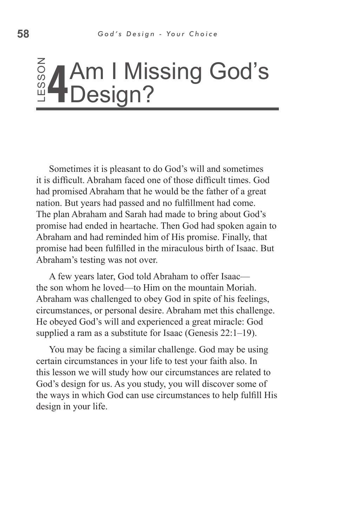#### S o Z **4** Am I Missing God's Design?

Sometimes it is pleasant to do God's will and sometimes it is difficult. Abraham faced one of those difficult times. God had promised Abraham that he would be the father of a great nation. But years had passed and no fulfillment had come. The plan Abraham and Sarah had made to bring about God's promise had ended in heartache. Then God had spoken again to Abraham and had reminded him of His promise. Finally, that promise had been fulfilled in the miraculous birth of Isaac. But Abraham's testing was not over. **Example 18 Constrainers in the Sometimes it is<br>it is difficult. Abral<br>had promised Abra<br>nation. But years h<br>The plan Abraham<br>promise had ended<br>Abraham and had i<br>promise had been f<br>Abraham 's testing<br>A few years latt<br>the s** 

A few years later, God told Abraham to offer Isaac the son whom he loved—to Him on the mountain Moriah. Abraham was challenged to obey God in spite of his feelings, circumstances, or personal desire. Abraham met this challenge. He obeyed God's will and experienced a great miracle: God supplied a ram as a substitute for Isaac (Genesis 22:1–19).

You may be facing a similar challenge. God may be using certain circumstances in your life to test your faith also. In this lesson we will study how our circumstances are related to God's design for us. As you study, you will discover some of the ways in which God can use circumstances to help fulfill His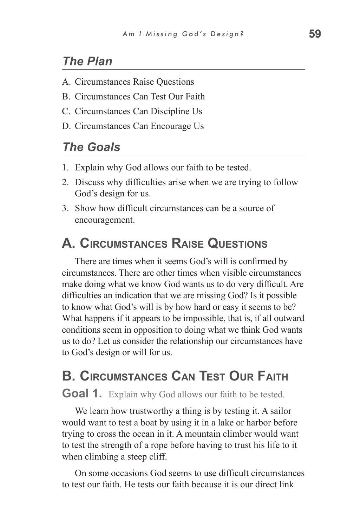## *The Plan*

- A. Circumstances Raise Questions
- B. Circumstances Can Test Our Faith
- C. Circumstances Can Discipline Us
- D. Circumstances Can Encourage Us

## *The Goals*

- 1. Explain why God allows our faith to be tested.
- 2. Discuss why difficulties arise when we are trying to follow God's design for us.
- 3. Show how difficult circumstances can be a source of encouragement.

## **A. Circumstances Raise Questions**

There are times when it seems God's will is confirmed by circumstances. There are other times when visible circumstances make doing what we know God wants us to do very difficult. Are difficulties an indication that we are missing God? Is it possible to know what God's will is by how hard or easy it seems to be? What happens if it appears to be impossible, that is, if all outward conditions seem in opposition to doing what we think God wants us to do? Let us consider the relationship our circumstances have to God's design or will for us.

# **B. Circumstances Can Test Our Faith**

#### **Goal 1.** Explain why God allows our faith to be tested.

We learn how trustworthy a thing is by testing it. A sailor would want to test a boat by using it in a lake or harbor before trying to cross the ocean in it. A mountain climber would want to test the strength of a rope before having to trust his life to it when climbing a steep cliff.

On some occasions God seems to use difficult circumstances to test our faith. He tests our faith because it is our direct link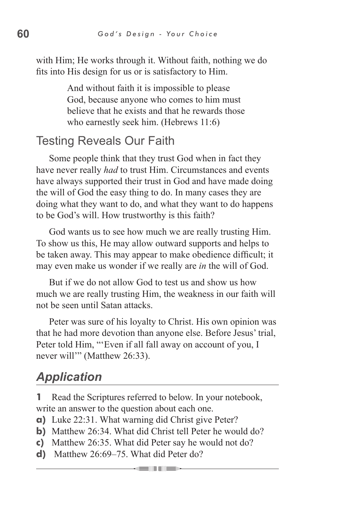with Him; He works through it. Without faith, nothing we do fits into His design for us or is satisfactory to Him.

> And without faith it is impossible to please God, because anyone who comes to him must believe that he exists and that he rewards those who earnestly seek him. (Hebrews 11:6)

#### Testing Reveals Our Faith

Some people think that they trust God when in fact they have never really *had* to trust Him. Circumstances and events have always supported their trust in God and have made doing the will of God the easy thing to do. In many cases they are doing what they want to do, and what they want to do happens to be God's will. How trustworthy is this faith?

God wants us to see how much we are really trusting Him. To show us this, He may allow outward supports and helps to be taken away. This may appear to make obedience difficult; it may even make us wonder if we really are *in* the will of God.

But if we do not allow God to test us and show us how much we are really trusting Him, the weakness in our faith will not be seen until Satan attacks.

Peter was sure of his loyalty to Christ. His own opinion was that he had more devotion than anyone else. Before Jesus' trial, Peter told Him, "'Even if all fall away on account of you, I never will'" (Matthew 26:33).

# *Application*

**1** Read the Scriptures referred to below. In your notebook, write an answer to the question about each one.

- **a)** Luke 22:31. What warning did Christ give Peter?
- **b**) Matthew 26:34. What did Christ tell Peter he would do?
- **c)** Matthew 26:35. What did Peter say he would not do?
- **d)** Matthew 26:69–75. What did Peter do?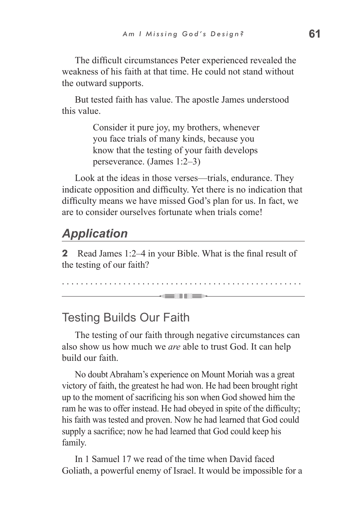The difficult circumstances Peter experienced revealed the weakness of his faith at that time. He could not stand without the outward supports.

But tested faith has value. The apostle James understood this value.

> Consider it pure joy, my brothers, whenever you face trials of many kinds, because you know that the testing of your faith develops perseverance. (James 1:2–3)

Look at the ideas in those verses—trials, endurance. They indicate opposition and difficulty. Yet there is no indication that difficulty means we have missed God's plan for us. In fact, we are to consider ourselves fortunate when trials come!

## *Application*

**2** Read James 1:2–4 in your Bible. What is the final result of the testing of our faith?

. . . . . . . . . . . . . . . . . . . . . . . . . . . . . . . . . . . . . . . . . . . . . . . . . . . **SEUTIER** 

#### Testing Builds Our Faith

The testing of our faith through negative circumstances can also show us how much we *are* able to trust God. It can help build our faith.

No doubt Abraham's experience on Mount Moriah was a great victory of faith, the greatest he had won. He had been brought right up to the moment of sacrificing his son when God showed him the ram he was to offer instead. He had obeyed in spite of the difficulty; his faith was tested and proven. Now he had learned that God could supply a sacrifice; now he had learned that God could keep his family.

In 1 Samuel 17 we read of the time when David faced Goliath, a powerful enemy of Israel. It would be impossible for a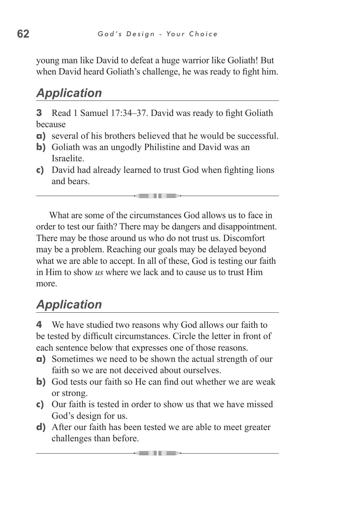young man like David to defeat a huge warrior like Goliath! But when David heard Goliath's challenge, he was ready to fight him.

# *Application*

**3** Read 1 Samuel 17:34–37. David was ready to fight Goliath because

- **a)** several of his brothers believed that he would be successful.
- **b)** Goliath was an ungodly Philistine and David was an Israelite.
- **c)** David had already learned to trust God when fighting lions and bears.

an dia 1

What are some of the circumstances God allows us to face in order to test our faith? There may be dangers and disappointment. There may be those around us who do not trust us. Discomfort may be a problem. Reaching our goals may be delayed beyond what we are able to accept. In all of these, God is testing our faith in Him to show *us* where we lack and to cause us to trust Him more.

# *Application*

**4** We have studied two reasons why God allows our faith to be tested by difficult circumstances. Circle the letter in front of each sentence below that expresses one of those reasons.

- **a)** Sometimes we need to be shown the actual strength of our faith so we are not deceived about ourselves.
- **b)** God tests our faith so He can find out whether we are weak or strong.
- **c)** Our faith is tested in order to show us that we have missed God's design for us.
- **d)** After our faith has been tested we are able to meet greater challenges than before.

an Tim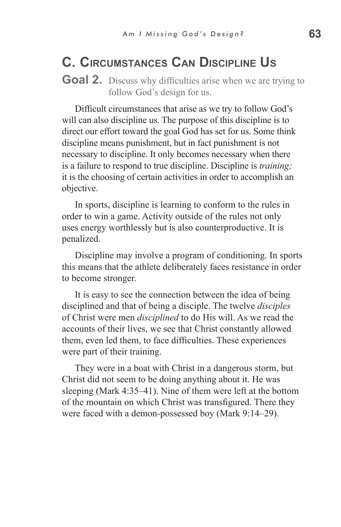# **C. Circumstances Can Discipline Us**

**Goal 2.** Discuss why difficulties arise when we are trying to follow God's design for us.

Difficult circumstances that arise as we try to follow God's will can also discipline us. The purpose of this discipline is to direct our effort toward the goal God has set for us. Some think discipline means punishment, but in fact punishment is not necessary to discipline. It only becomes necessary when there is a failure to respond to true discipline. Discipline is *training;*  it is the choosing of certain activities in order to accomplish an objective.

In sports, discipline is learning to conform to the rules in order to win a game. Activity outside of the rules not only uses energy worthlessly but is also counterproductive. It is penalized.

Discipline may involve a program of conditioning. In sports this means that the athlete deliberately faces resistance in order to become stronger.

It is easy to see the connection between the idea of being disciplined and that of being a disciple. The twelve *disciples* of Christ were men *disciplined* to do His will. As we read the accounts of their lives, we see that Christ constantly allowed them, even led them, to face difficulties. These experiences were part of their training.

They were in a boat with Christ in a dangerous storm, but Christ did not seem to be doing anything about it. He was sleeping (Mark 4:35–41). Nine of them were left at the bottom of the mountain on which Christ was transfigured. There they were faced with a demon-possessed boy (Mark 9:14–29).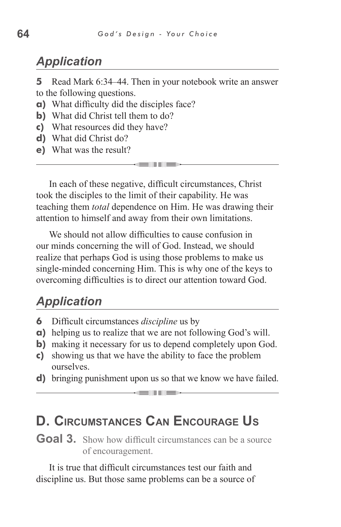## *Application*

**5** Read Mark 6:34–44. Then in your notebook write an answer to the following questions.

- **a)** What difficulty did the disciples face?
- **b)** What did Christ tell them to do?
- **c)** What resources did they have?
- **d)** What did Christ do?
- **e)** What was the result?

In each of these negative, difficult circumstances, Christ took the disciples to the limit of their capability. He was teaching them *total* dependence on Him. He was drawing their attention to himself and away from their own limitations.

\_\_\_

We should not allow difficulties to cause confusion in our minds concerning the will of God. Instead, we should realize that perhaps God is using those problems to make us single-minded concerning Him. This is why one of the keys to overcoming difficulties is to direct our attention toward God.

#### *Application*

- **6** Difficult circumstances *discipline* us by
- **a)** helping us to realize that we are not following God's will.
- **b**) making it necessary for us to depend completely upon God.
- **c)** showing us that we have the ability to face the problem ourselves.
- **d)** bringing punishment upon us so that we know we have failed. - 11 -

## **D. Circumstances Can Encourage Us**

**Goal 3.** Show how difficult circumstances can be a source of encouragement.

It is true that difficult circumstances test our faith and discipline us. But those same problems can be a source of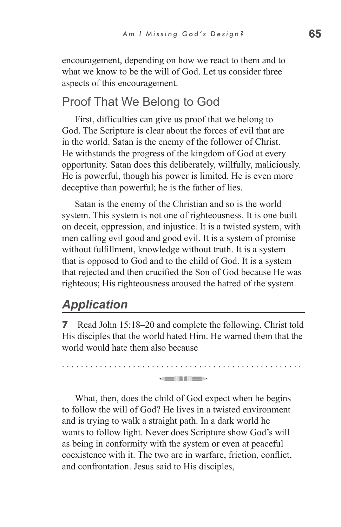encouragement, depending on how we react to them and to what we know to be the will of God. Let us consider three aspects of this encouragement.

## Proof That We Belong to God

First, difficulties can give us proof that we belong to God. The Scripture is clear about the forces of evil that are in the world. Satan is the enemy of the follower of Christ. He withstands the progress of the kingdom of God at every opportunity. Satan does this deliberately, willfully, maliciously. He is powerful, though his power is limited. He is even more deceptive than powerful; he is the father of lies.

Satan is the enemy of the Christian and so is the world system. This system is not one of righteousness. It is one built on deceit, oppression, and injustice. It is a twisted system, with men calling evil good and good evil. It is a system of promise without fulfillment, knowledge without truth. It is a system that is opposed to God and to the child of God. It is a system that rejected and then crucified the Son of God because He was righteous; His righteousness aroused the hatred of the system.

## *Application*

**7** Read John 15:18–20 and complete the following. Christ told His disciples that the world hated Him. He warned them that the world would hate them also because

. . . . . . . . . . . . . . . . . . . . . . . . . . . . . . . . . . . . . . . . . . . . . . . . . . .

**KENTIFY** 

What, then, does the child of God expect when he begins to follow the will of God? He lives in a twisted environment and is trying to walk a straight path. In a dark world he wants to follow light. Never does Scripture show God's will as being in conformity with the system or even at peaceful coexistence with it. The two are in warfare, friction, conflict, and confrontation. Jesus said to His disciples,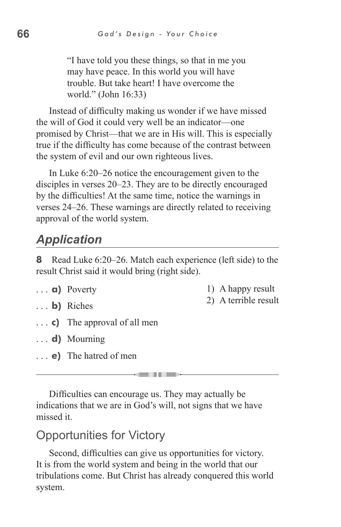"I have told you these things, so that in me you may have peace. In this world you will have trouble. But take heart! I have overcome the world." (John 16:33)

Instead of difficulty making us wonder if we have missed the will of God it could very well be an indicator—one promised by Christ—that we are in His will. This is especially true if the difficulty has come because of the contrast between the system of evil and our own righteous lives.

In Luke 6:20–26 notice the encouragement given to the disciples in verses 20–23. They are to be directly encouraged by the difficulties! At the same time, notice the warnings in verses 24–26. These warnings are directly related to receiving approval of the world system.

# *Application*

**8** Read Luke 6:20–26. Match each experience (left side) to the result Christ said it would bring (right side).

**a)** Poverty

1) A happy result 2) A terrible result

- **b)** Riches
- **c)** The approval of all men
- **d)** Mourning
- **e)** The hatred of men

Difficulties can encourage us. They may actually be indications that we are in God's will, not signs that we have missed it.

al in all sees

#### Opportunities for Victory

Second, difficulties can give us opportunities for victory. It is from the world system and being in the world that our tribulations come. But Christ has already conquered this world system.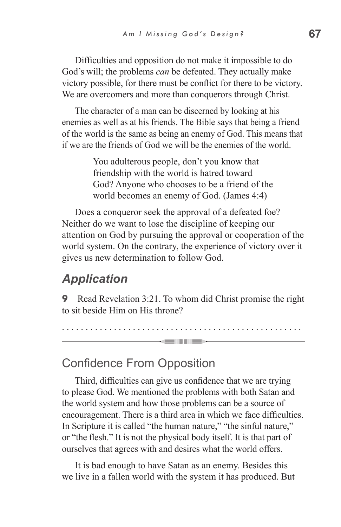Difficulties and opposition do not make it impossible to do God's will; the problems *can* be defeated. They actually make victory possible, for there must be conflict for there to be victory. We are overcomers and more than conquerors through Christ.

The character of a man can be discerned by looking at his enemies as well as at his friends. The Bible says that being a friend of the world is the same as being an enemy of God. This means that if we are the friends of God we will be the enemies of the world.

> You adulterous people, don't you know that friendship with the world is hatred toward God? Anyone who chooses to be a friend of the world becomes an enemy of God. (James 4:4)

Does a conqueror seek the approval of a defeated foe? Neither do we want to lose the discipline of keeping our attention on God by pursuing the approval or cooperation of the world system. On the contrary, the experience of victory over it gives us new determination to follow God.

#### *Application*

**9** Read Revelation 3:21. To whom did Christ promise the right to sit beside Him on His throne?

. . . . . . . . . . . . . . . . . . . . . . . . . . . . . . . . . . . . . . . . . . . . . . . . . . .

and in the sea

Confidence From Opposition

Third, difficulties can give us confidence that we are trying to please God. We mentioned the problems with both Satan and the world system and how those problems can be a source of encouragement. There is a third area in which we face difficulties. In Scripture it is called "the human nature," "the sinful nature," or "the flesh." It is not the physical body itself. It is that part of ourselves that agrees with and desires what the world offers.

It is bad enough to have Satan as an enemy. Besides this we live in a fallen world with the system it has produced. But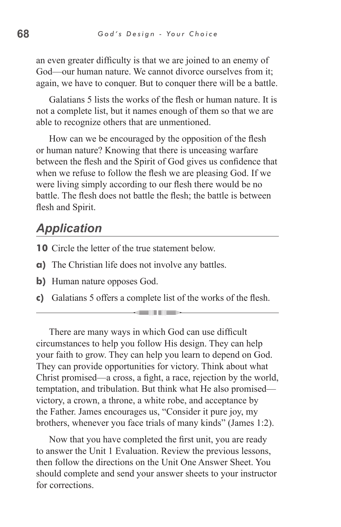an even greater difficulty is that we are joined to an enemy of God—our human nature. We cannot divorce ourselves from it; again, we have to conquer. But to conquer there will be a battle.

Galatians 5 lists the works of the flesh or human nature. It is not a complete list, but it names enough of them so that we are able to recognize others that are unmentioned.

How can we be encouraged by the opposition of the flesh or human nature? Knowing that there is unceasing warfare between the flesh and the Spirit of God gives us confidence that when we refuse to follow the flesh we are pleasing God. If we were living simply according to our flesh there would be no battle. The flesh does not battle the flesh; the battle is between flesh and Spirit.

## *Application*

- **10** Circle the letter of the true statement below.
- **a)** The Christian life does not involve any battles.
- **b**) Human nature opposes God.
- **c)** Galatians 5 offers a complete list of the works of the flesh.

There are many ways in which God can use difficult circumstances to help you follow His design. They can help your faith to grow. They can help you learn to depend on God. They can provide opportunities for victory. Think about what Christ promised—a cross, a fight, a race, rejection by the world, temptation, and tribulation. But think what He also promised victory, a crown, a throne, a white robe, and acceptance by the Father. James encourages us, "Consider it pure joy, my brothers, whenever you face trials of many kinds" (James 1:2).

Now that you have completed the first unit, you are ready to answer the Unit 1 Evaluation. Review the previous lessons, then follow the directions on the Unit One Answer Sheet. You should complete and send your answer sheets to your instructor for corrections.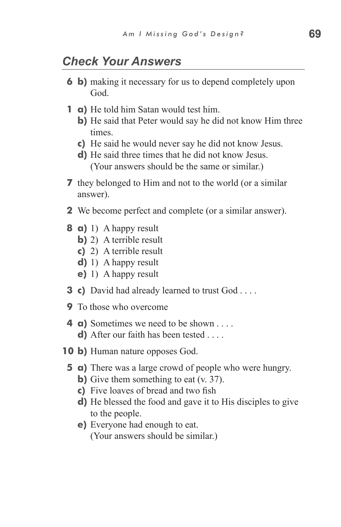#### *Check Your Answers*

- **6 b)** making it necessary for us to depend completely upon God.
- **1 a)** He told him Satan would test him.
	- **b)** He said that Peter would say he did not know Him three times.
	- **c)** He said he would never say he did not know Jesus.
	- **d)** He said three times that he did not know Jesus. (Your answers should be the same or similar.)
- **7** they belonged to Him and not to the world (or a similar answer).
- **2** We become perfect and complete (or a similar answer).
- **8 a)** 1) A happy result
	- **b**) 2) A terrible result
	- **c)** 2) A terrible result
	- **d)** 1) A happy result
	- **e)** 1) A happy result
- **3 c)** David had already learned to trust God . . . .
- **9** To those who overcome
- **4 a)** Sometimes we need to be shown . . . . **d)** After our faith has been tested . . . .
- **10 b)** Human nature opposes God.
	- **5 a)** There was a large crowd of people who were hungry.
		- **b**) Give them something to eat (v. 37).
		- **c)** Five loaves of bread and two fish
		- **d)** He blessed the food and gave it to His disciples to give to the people.
		- **e)** Everyone had enough to eat. (Your answers should be similar.)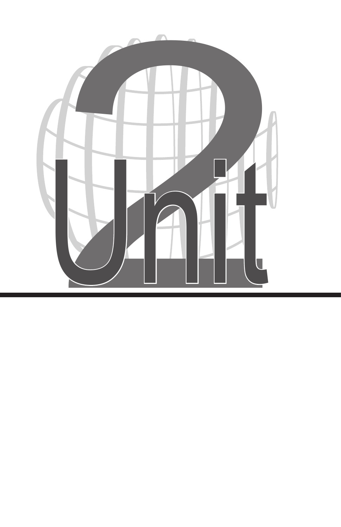